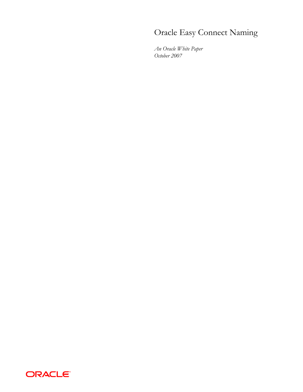# Oracle Easy Connect Naming

*An Oracle White Paper October 2007* 

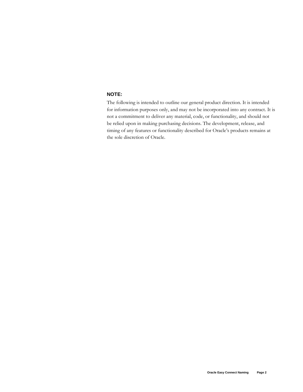## **NOTE:**

The following is intended to outline our general product direction. It is intended for information purposes only, and may not be incorporated into any contract. It is not a commitment to deliver any material, code, or functionality, and should not be relied upon in making purchasing decisions. The development, release, and timing of any features or functionality described for Oracle's products remains at the sole discretion of Oracle.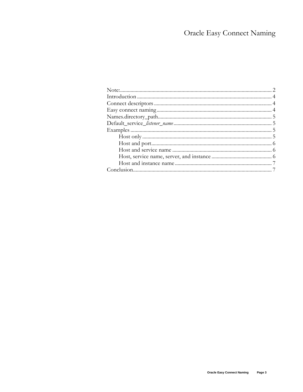# **Oracle Easy Connect Naming**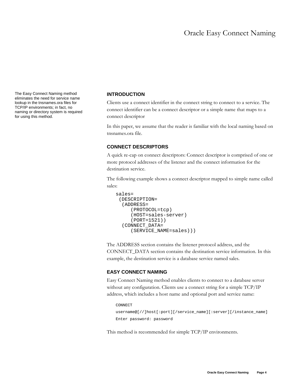The Easy Connect Naming method eliminates the need for service name lookup in the tnsnames.ora files for TCP/IP environments; in fact, no naming or directory system is required for using this method.

#### **INTRODUCTION**

Clients use a connect identifier in the connect string to connect to a service. The connect identifier can be a connect descriptor or a simple name that maps to a connect descriptor

In this paper, we assume that the reader is familiar with the local naming based on tnsnames.ora file.

### **CONNECT DESCRIPTORS**

A quick re-cap on connect descriptors: Connect descriptor is comprised of one or more protocol addresses of the listener and the connect information for the destination service.

The following example shows a connect descriptor mapped to simple name called sales:

```
sales= 
  (DESCRIPTION= 
   (ADDRESS= 
      (PROTOCOL=tcp) 
       (HOST=sales-server) 
       (PORT=1521)) 
   (CONNECT_DATA= 
       (SERVICE_NAME=sales)))
```
The ADDRESS section contains the listener protocol address, and the CONNECT\_DATA section contains the destination service information. In this example, the destination service is a database service named sales.

#### **EASY CONNECT NAMING**

Easy Connect Naming method enables clients to connect to a database server without any configuration. Clients use a connect string for a simple TCP/IP address, which includes a host name and optional port and service name:

```
CONNECT 
username@[//]host[:port][/service_name][:server][/instance_name] 
Enter password: password
```
This method is recommended for simple TCP/IP environments.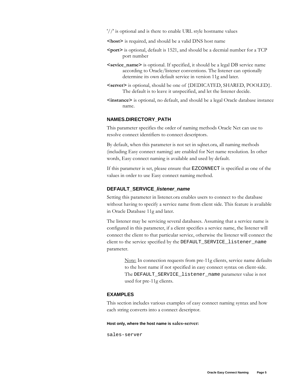'//' is optional and is there to enable URL style hostname values

**<host>** is required, and should be a valid DNS host name

- **<port>** is optional, default is 1521, and should be a decmial number for a TCP port number
- **<sevice\_name>** is optional. If specified, it should be a legal DB service name according to Oracle/listener conventions. The listener can optionally determine its own default service in version 11g and later.
- **<server>** is optional, should be one of {DEDICATED, SHARED, POOLED}. The default is to leave it unspecified, and let the listener decide.
- **<instance>** is optional, no default, and should be a legal Oracle database instance name.

#### **NAMES.DIRECTORY\_PATH**

This parameter specifies the order of naming methods Oracle Net can use to resolve connect identifiers to connect descriptors.

By default, when this parameter is not set in sqlnet.ora, all naming methods (including Easy connect naming) are enabled for Net name resolution. In other words, Easy connect naming is available and used by default.

If this parameter is set, please ensure that EZCONNECT is specified as one of the values in order to use Easy connect naming method.

#### **DEFAULT\_SERVICE\_listener\_name**

Setting this parameter in listener.ora enables users to connect to the database without having to specify a service name from client side. This feature is available in Oracle Database 11g and later.

The listener may be servicing several databases. Assuming that a service name is configured in this parameter, if a client specifies a service name, the listener will connect the client to that particular service, otherwise the listener will connect the client to the service specified by the DEFAULT\_SERVICE\_listener\_name parameter.

> Note: In connection requests from pre-11g clients, service name defaults to the host name if not specified in easy connect syntax on client-side. The DEFAULT\_SERVICE\_listener\_name parameter value is not used for pre-11g clients.

#### **EXAMPLES**

This section includes various examples of easy connect naming syntax and how each string converts into a connect descriptor.

#### **Host only, where the host name is sales-server:**

sales-server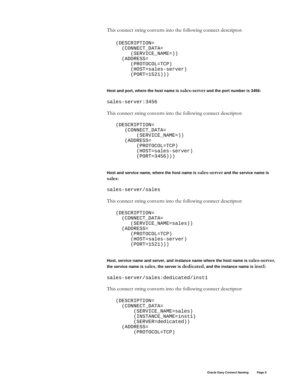This connect string converts into the following connect descriptor:

```
(DESCRIPTION= 
   (CONNECT_DATA= 
      (SERVICE_NAME=)) 
   (ADDRESS= 
      (PROTOCOL=TCP) 
      (HOST=sales-server) 
      (PORT=1521)))
```
#### **Host and port, where the host name is sales-server and the port number is 3456:**

sales-server:3456

This connect string converts into the following connect descriptor:

```
(DESCRIPTION= 
    (CONNECT_DATA= 
         (SERVICE_NAME=)) 
    (ADDRESS= 
         (PROTOCOL=TCP) 
         (HOST=sales-server) 
         (PORT=3456)))
```
**Host and service name, where the host name is sales-server and the service name is sales:** 

```
sales-server/sales
```
This connect string converts into the following connect descriptor:

```
(DESCRIPTION= 
   (CONNECT_DATA= 
      (SERVICE_NAME=sales)) 
   (ADDRESS= 
      (PROTOCOL=TCP) 
      (HOST=sales-server) 
      (PORT=1521)))
```
**Host, service name and server, and instance name where the host name is sales-server, the service name is sales, the server is dedicated, and the instance name is inst1:** 

sales-server/sales:dedicated/inst1

This connect string converts into the following connect descriptor:

```
(DESCRIPTION= 
   (CONNECT_DATA= 
        (SERVICE_NAME=sales) 
        (INSTANCE_NAME=inst1) 
       (SERVER=dedicated)) 
   (ADDRESS= 
       (PROTOCOL=TCP)
```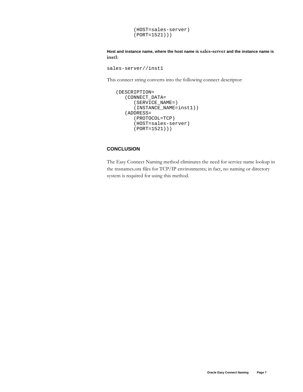```
 (HOST=sales-server) 
 (PORT=1521)))
```
**Host and instance name, where the host name is sales-server and the instance name is inst1:** 

```
sales-server//inst1
```
This connect string converts into the following connect descriptor:

```
(DESCRIPTION= 
    (CONNECT_DATA= 
       (SERVICE_NAME=) 
       (INSTANCE_NAME=inst1)) 
    (ADDRESS= 
       (PROTOCOL=TCP) 
       (HOST=sales-server) 
       (PORT=1521)))
```
#### **CONCLUSION**

The Easy Connect Naming method eliminates the need for service name lookup in the tnsnames.ora files for TCP/IP environments; in fact, no naming or directory system is required for using this method.